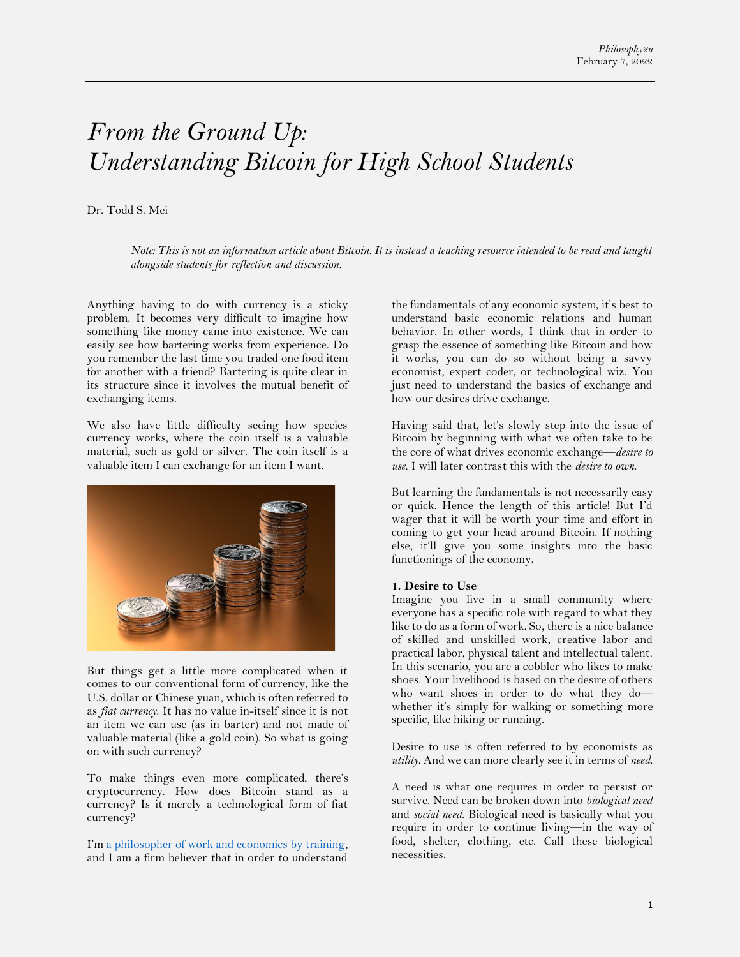# *From the Ground Up: Understanding Bitcoin for High School Students*

#### Dr. Todd S. Mei

*Note: This is not an information article about Bitcoin. It is instead a teaching resource intended to be read and taught alongside students for reflection and discussion.*

Anything having to do with currency is a sticky problem. It becomes very difficult to imagine how something like money came into existence. We can easily see how bartering works from experience. Do you remember the last time you traded one food item for another with a friend? Bartering is quite clear in its structure since it involves the mutual benefit of exchanging items.

We also have little difficulty seeing how species currency works, where the coin itself is a valuable material, such as gold or silver. The coin itself is a valuable item I can exchange for an item I want.



But things get a little more complicated when it comes to our conventional form of currency, like the U.S. dollar or Chinese yuan, which is often referred to as *fiat currency*. It has no value in-itself since it is not an item we can use (as in barter) and not made of valuable material (like a gold coin). So what is going on with such currency?

To make things even more complicated, there's cryptocurrency. How does Bitcoin stand as a currency? Is it merely a technological form of fiat currency?

I'm [a philosopher of work and economics by training,](https://www.philosophy2u.com/about) and I am a firm believer that in order to understand the fundamentals of any economic system, it's best to understand basic economic relations and human behavior. In other words, I think that in order to grasp the essence of something like Bitcoin and how it works, you can do so without being a savvy economist, expert coder, or technological wiz. You just need to understand the basics of exchange and how our desires drive exchange.

Having said that, let's slowly step into the issue of Bitcoin by beginning with what we often take to be the core of what drives economic exchange—*desire to use*. I will later contrast this with the *desire to own*.

But learning the fundamentals is not necessarily easy or quick. Hence the length of this article! But I'd wager that it will be worth your time and effort in coming to get your head around Bitcoin. If nothing else, it'll give you some insights into the basic functionings of the economy.

#### **1. Desire to Use**

Imagine you live in a small community where everyone has a specific role with regard to what they like to do as a form of work. So, there is a nice balance of skilled and unskilled work, creative labor and practical labor, physical talent and intellectual talent. In this scenario, you are a cobbler who likes to make shoes. Your livelihood is based on the desire of others who want shoes in order to do what they do whether it's simply for walking or something more specific, like hiking or running.

Desire to use is often referred to by economists as *utility*. And we can more clearly see it in terms of *need*.

A need is what one requires in order to persist or survive. Need can be broken down into *biological need* and *social need*. Biological need is basically what you require in order to continue living—in the way of food, shelter, clothing, etc. Call these biological necessities.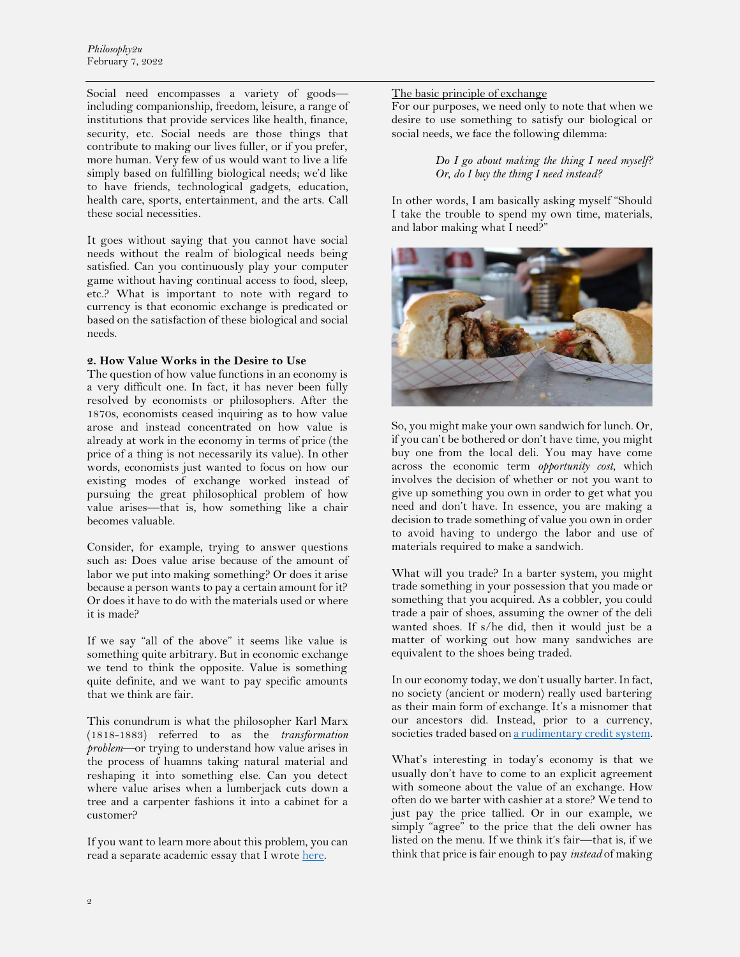Social need encompasses a variety of goods including companionship, freedom, leisure, a range of institutions that provide services like health, finance, security, etc. Social needs are those things that contribute to making our lives fuller, or if you prefer, more human. Very few of us would want to live a life simply based on fulfilling biological needs; we'd like to have friends, technological gadgets, education, health care, sports, entertainment, and the arts. Call these social necessities.

It goes without saying that you cannot have social needs without the realm of biological needs being satisfied. Can you continuously play your computer game without having continual access to food, sleep, etc.? What is important to note with regard to currency is that economic exchange is predicated or based on the satisfaction of these biological and social needs.

### **2. How Value Works in the Desire to Use**

The question of how value functions in an economy is a very difficult one. In fact, it has never been fully resolved by economists or philosophers. After the 1870s, economists ceased inquiring as to how value arose and instead concentrated on how value is already at work in the economy in terms of price (the price of a thing is not necessarily its value). In other words, economists just wanted to focus on how our existing modes of exchange worked instead of pursuing the great philosophical problem of how value arises—that is, how something like a chair becomes valuable.

Consider, for example, trying to answer questions such as: Does value arise because of the amount of labor we put into making something? Or does it arise because a person wants to pay a certain amount for it? Or does it have to do with the materials used or where it is made?

If we say "all of the above" it seems like value is something quite arbitrary. But in economic exchange we tend to think the opposite. Value is something quite definite, and we want to pay specific amounts that we think are fair.

This conundrum is what the philosopher Karl Marx (1818-1883) referred to as the *transformation problem*—or trying to understand how value arises in the process of huamns taking natural material and reshaping it into something else. Can you detect where value arises when a lumberjack cuts down a tree and a carpenter fashions it into a cabinet for a customer?

If you want to learn more about this problem, you can read a separate academic essay that I wrote [here.](http://australianhumanitiesreview.org/category/contributors/contributors-m/mei-todd/)

The basic principle of exchange

For our purposes, we need only to note that when we desire to use something to satisfy our biological or social needs, we face the following dilemma:

# *Do I go about making the thing I need myself? Or, do I buy the thing I need instead?*

In other words, I am basically asking myself "Should I take the trouble to spend my own time, materials, and labor making what I need?"



So, you might make your own sandwich for lunch. Or, if you can't be bothered or don't have time, you might buy one from the local deli. You may have come across the economic term *opportunity cost*, which involves the decision of whether or not you want to give up something you own in order to get what you need and don't have. In essence, you are making a decision to trade something of value you own in order to avoid having to undergo the labor and use of materials required to make a sandwich.

What will you trade? In a barter system, you might trade something in your possession that you made or something that you acquired. As a cobbler, you could trade a pair of shoes, assuming the owner of the deli wanted shoes. If s/he did, then it would just be a matter of working out how many sandwiches are equivalent to the shoes being traded.

In our economy today, we don't usually barter. In fact, no society (ancient or modern) really used bartering as their main form of exchange. It's a misnomer that our ancestors did. Instead, prior to a currency, societies traded based o[n a rudimentary credit system.](http://australianhumanitiesreview.org/category/contributors/contributors-m/mei-todd/)

What's interesting in today's economy is that we usually don't have to come to an explicit agreement with someone about the value of an exchange. How often do we barter with cashier at a store? We tend to just pay the price tallied. Or in our example, we simply "agree" to the price that the deli owner has listed on the menu. If we think it's fair—that is, if we think that price is fair enough to pay *instead* of making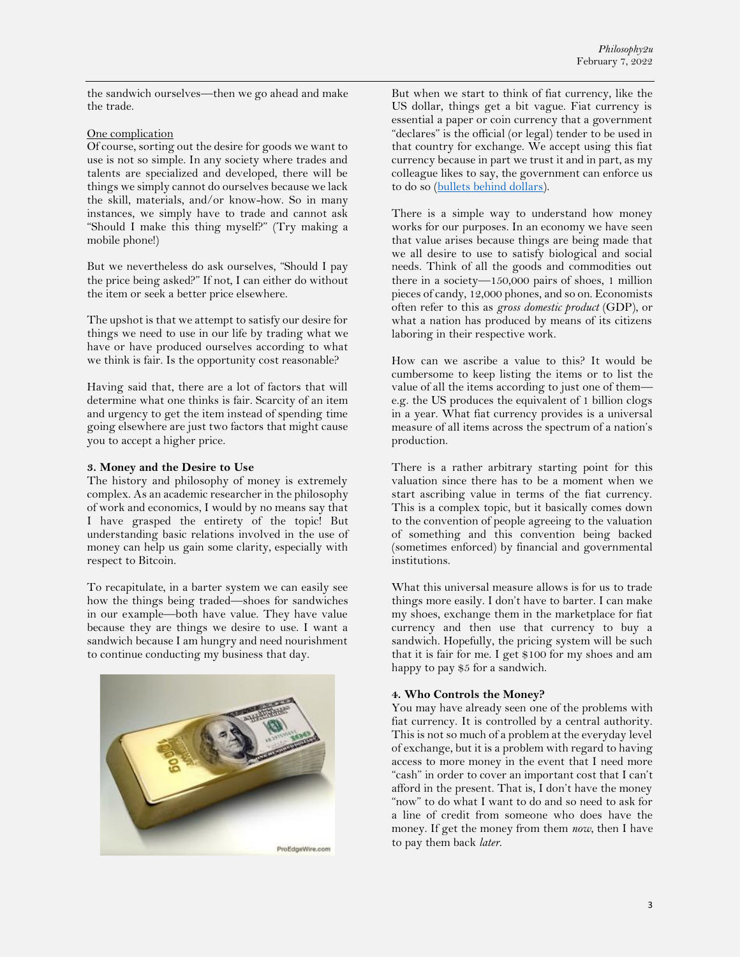the sandwich ourselves—then we go ahead and make the trade.

### One complication

Of course, sorting out the desire for goods we want to use is not so simple. In any society where trades and talents are specialized and developed, there will be things we simply cannot do ourselves because we lack the skill, materials, and/or know-how. So in many instances, we simply have to trade and cannot ask "Should I make this thing myself?" (Try making a mobile phone!)

But we nevertheless do ask ourselves, "Should I pay the price being asked?" If not, I can either do without the item or seek a better price elsewhere.

The upshot is that we attempt to satisfy our desire for things we need to use in our life by trading what we have or have produced ourselves according to what we think is fair. Is the opportunity cost reasonable?

Having said that, there are a lot of factors that will determine what one thinks is fair. Scarcity of an item and urgency to get the item instead of spending time going elsewhere are just two factors that might cause you to accept a higher price.

### **3. Money and the Desire to Use**

The history and philosophy of money is extremely complex. As an academic researcher in the philosophy of work and economics, I would by no means say that I have grasped the entirety of the topic! But understanding basic relations involved in the use of money can help us gain some clarity, especially with respect to Bitcoin.

To recapitulate, in a barter system we can easily see how the things being traded—shoes for sandwiches in our example—both have value. They have value because they are things we desire to use. I want a sandwich because I am hungry and need nourishment to continue conducting my business that day.



But when we start to think of fiat currency, like the US dollar, things get a bit vague. Fiat currency is essential a paper or coin currency that a government "declares" is the official (or legal) tender to be used in that country for exchange. We accept using this fiat currency because in part we trust it and in part, as my colleague likes to say, the government can enforce us to do so [\(bullets behind dollars\)](https://www.quora.com/Will-cryptocurrencies-replace-fiat-money-in-the-future).

There is a simple way to understand how money works for our purposes. In an economy we have seen that value arises because things are being made that we all desire to use to satisfy biological and social needs. Think of all the goods and commodities out there in a society—150,000 pairs of shoes, 1 million pieces of candy, 12,000 phones, and so on. Economists often refer to this as *gross domestic product* (GDP), or what a nation has produced by means of its citizens laboring in their respective work.

How can we ascribe a value to this? It would be cumbersome to keep listing the items or to list the value of all the items according to just one of them e.g. the US produces the equivalent of 1 billion clogs in a year. What fiat currency provides is a universal measure of all items across the spectrum of a nation's production.

There is a rather arbitrary starting point for this valuation since there has to be a moment when we start ascribing value in terms of the fiat currency. This is a complex topic, but it basically comes down to the convention of people agreeing to the valuation of something and this convention being backed (sometimes enforced) by financial and governmental institutions.

What this universal measure allows is for us to trade things more easily. I don't have to barter. I can make my shoes, exchange them in the marketplace for fiat currency and then use that currency to buy a sandwich. Hopefully, the pricing system will be such that it is fair for me. I get \$100 for my shoes and am happy to pay \$5 for a sandwich.

# **4. Who Controls the Money?**

You may have already seen one of the problems with fiat currency. It is controlled by a central authority. This is not so much of a problem at the everyday level of exchange, but it is a problem with regard to having access to more money in the event that I need more "cash" in order to cover an important cost that I can't afford in the present. That is, I don't have the money "now" to do what I want to do and so need to ask for a line of credit from someone who does have the money. If get the money from them *now*, then I have to pay them back *later*.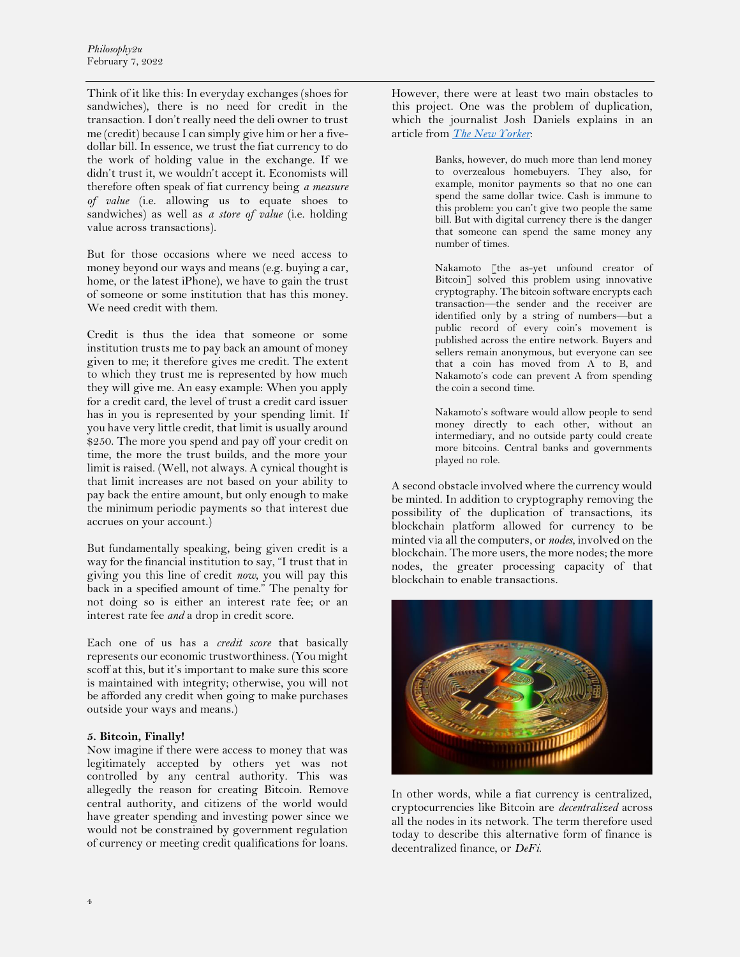Think of it like this: In everyday exchanges (shoes for sandwiches), there is no need for credit in the transaction. I don't really need the deli owner to trust me (credit) because I can simply give him or her a fivedollar bill. In essence, we trust the fiat currency to do the work of holding value in the exchange. If we didn't trust it, we wouldn't accept it. Economists will therefore often speak of fiat currency being *a measure of value* (i.e. allowing us to equate shoes to sandwiches) as well as *a store of value* (i.e. holding value across transactions).

But for those occasions where we need access to money beyond our ways and means (e.g. buying a car, home, or the latest iPhone), we have to gain the trust of someone or some institution that has this money. We need credit with them.

Credit is thus the idea that someone or some institution trusts me to pay back an amount of money given to me; it therefore gives me credit. The extent to which they trust me is represented by how much they will give me. An easy example: When you apply for a credit card, the level of trust a credit card issuer has in you is represented by your spending limit. If you have very little credit, that limit is usually around \$250. The more you spend and pay off your credit on time, the more the trust builds, and the more your limit is raised. (Well, not always. A cynical thought is that limit increases are not based on your ability to pay back the entire amount, but only enough to make the minimum periodic payments so that interest due accrues on your account.)

But fundamentally speaking, being given credit is a way for the financial institution to say, "I trust that in giving you this line of credit *now*, you will pay this back in a specified amount of time." The penalty for not doing so is either an interest rate fee; or an interest rate fee *and* a drop in credit score.

Each one of us has a *credit score* that basically represents our economic trustworthiness. (You might scoff at this, but it's important to make sure this score is maintained with integrity; otherwise, you will not be afforded any credit when going to make purchases outside your ways and means.)

#### **5. Bitcoin, Finally!**

Now imagine if there were access to money that was legitimately accepted by others yet was not controlled by any central authority. This was allegedly the reason for creating Bitcoin. Remove central authority, and citizens of the world would have greater spending and investing power since we would not be constrained by government regulation of currency or meeting credit qualifications for loans.

However, there were at least two main obstacles to this project. One was the problem of duplication, which the journalist Josh Daniels explains in an article from *[The New Yorker](https://www.newyorker.com/magazine/2011/10/10/the-crypto-currency)*:

> Banks, however, do much more than lend money to overzealous homebuyers. They also, for example, monitor payments so that no one can spend the same dollar twice. Cash is immune to this problem: you can't give two people the same bill. But with digital currency there is the danger that someone can spend the same money any number of times.

> Nakamoto [the as-yet unfound creator of Bitcoin<sup>7</sup> solved this problem using innovative cryptography. The bitcoin software encrypts each transaction—the sender and the receiver are identified only by a string of numbers—but a public record of every coin's movement is published across the entire network. Buyers and sellers remain anonymous, but everyone can see that a coin has moved from A to B, and Nakamoto's code can prevent A from spending the coin a second time.

> Nakamoto's software would allow people to send money directly to each other, without an intermediary, and no outside party could create more bitcoins. Central banks and governments played no role.

A second obstacle involved where the currency would be minted. In addition to cryptography removing the possibility of the duplication of transactions, its blockchain platform allowed for currency to be minted via all the computers, or *nodes*, involved on the blockchain. The more users, the more nodes; the more nodes, the greater processing capacity of that blockchain to enable transactions.



In other words, while a fiat currency is centralized, cryptocurrencies like Bitcoin are *decentralized* across all the nodes in its network. The term therefore used today to describe this alternative form of finance is decentralized finance, or *DeFi*.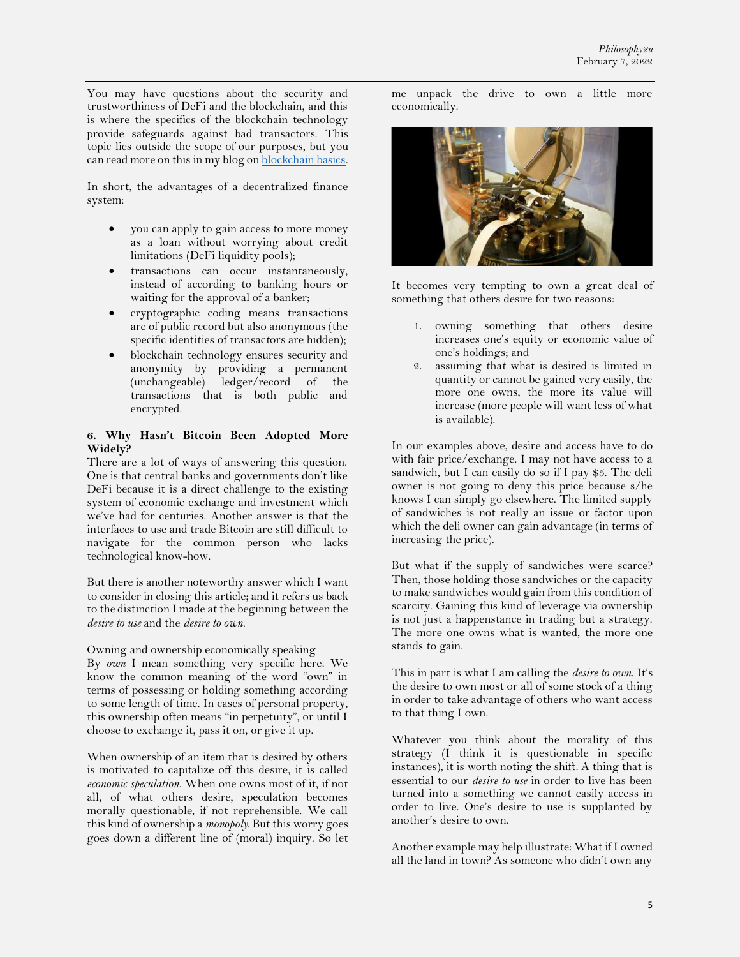You may have questions about the security and trustworthiness of DeFi and the blockchain, and this is where the specifics of the blockchain technology provide safeguards against bad transactors. This topic lies outside the scope of our purposes, but you can read more on this in my blog on **blockchain basics**.

In short, the advantages of a decentralized finance system:

- you can apply to gain access to more money as a loan without worrying about credit limitations (DeFi liquidity pools);
- transactions can occur instantaneously, instead of according to banking hours or waiting for the approval of a banker;
- cryptographic coding means transactions are of public record but also anonymous (the specific identities of transactors are hidden);
- blockchain technology ensures security and anonymity by providing a permanent (unchangeable) ledger/record of the transactions that is both public and encrypted.

## **6. Why Hasn't Bitcoin Been Adopted More Widely?**

There are a lot of ways of answering this question. One is that central banks and governments don't like DeFi because it is a direct challenge to the existing system of economic exchange and investment which we've had for centuries. Another answer is that the interfaces to use and trade Bitcoin are still difficult to navigate for the common person who lacks technological know-how.

But there is another noteworthy answer which I want to consider in closing this article; and it refers us back to the distinction I made at the beginning between the *desire to use* and the *desire to own*.

Owning and ownership economically speaking

By *own* I mean something very specific here. We know the common meaning of the word "own" in terms of possessing or holding something according to some length of time. In cases of personal property, this ownership often means "in perpetuity", or until I choose to exchange it, pass it on, or give it up.

When ownership of an item that is desired by others is motivated to capitalize off this desire, it is called *economic speculation*. When one owns most of it, if not all, of what others desire, speculation becomes morally questionable, if not reprehensible. We call this kind of ownership a *monopoly*. But this worry goes goes down a different line of (moral) inquiry. So let

me unpack the drive to own a little more economically.



It becomes very tempting to own a great deal of something that others desire for two reasons:

- 1. owning something that others desire increases one's equity or economic value of one's holdings; and
- 2. assuming that what is desired is limited in quantity or cannot be gained very easily, the more one owns, the more its value will increase (more people will want less of what is available).

In our examples above, desire and access have to do with fair price/exchange. I may not have access to a sandwich, but I can easily do so if I pay \$5. The deli owner is not going to deny this price because s/he knows I can simply go elsewhere. The limited supply of sandwiches is not really an issue or factor upon which the deli owner can gain advantage (in terms of increasing the price).

But what if the supply of sandwiches were scarce? Then, those holding those sandwiches or the capacity to make sandwiches would gain from this condition of scarcity. Gaining this kind of leverage via ownership is not just a happenstance in trading but a strategy. The more one owns what is wanted, the more one stands to gain.

This in part is what I am calling the *desire to own*. It's the desire to own most or all of some stock of a thing in order to take advantage of others who want access to that thing I own.

Whatever you think about the morality of this strategy (I think it is questionable in specific instances), it is worth noting the shift. A thing that is essential to our *desire to use* in order to live has been turned into a something we cannot easily access in order to live. One's desire to use is supplanted by another's desire to own.

Another example may help illustrate: What if I owned all the land in town? As someone who didn't own any